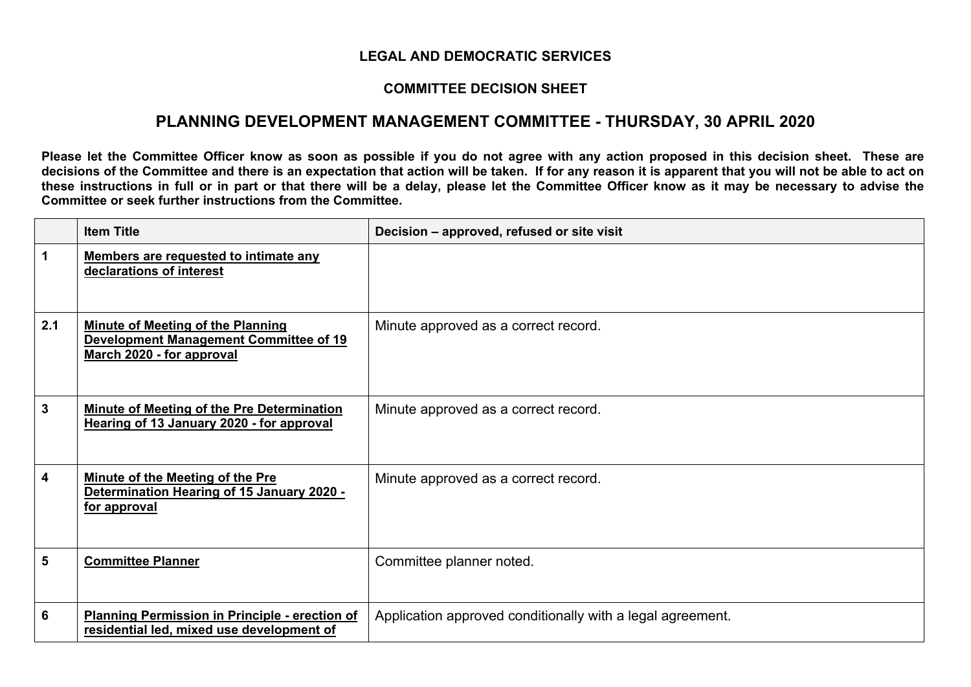## **LEGAL AND DEMOCRATIC SERVICES**

## **COMMITTEE DECISION SHEET**

## **PLANNING DEVELOPMENT MANAGEMENT COMMITTEE - THURSDAY, 30 APRIL 2020**

Please let the Committee Officer know as soon as possible if you do not agree with any action proposed in this decision sheet. These are decisions of the Committee and there is an expectation that action will be taken. If for any reason it is apparent that you will not be able to act on these instructions in full or in part or that there will be a delay, please let the Committee Officer know as it may be necessary to advise the **Committee or seek further instructions from the Committee.**

|                | <b>Item Title</b>                                                                                                      | Decision - approved, refused or site visit                 |
|----------------|------------------------------------------------------------------------------------------------------------------------|------------------------------------------------------------|
| $\mathbf 1$    | Members are requested to intimate any<br>declarations of interest                                                      |                                                            |
| 2.1            | <b>Minute of Meeting of the Planning</b><br><b>Development Management Committee of 19</b><br>March 2020 - for approval | Minute approved as a correct record.                       |
| $\mathbf{3}$   | Minute of Meeting of the Pre Determination<br>Hearing of 13 January 2020 - for approval                                | Minute approved as a correct record.                       |
| 4              | Minute of the Meeting of the Pre<br>Determination Hearing of 15 January 2020 -<br>for approval                         | Minute approved as a correct record.                       |
| $5\phantom{1}$ | <b>Committee Planner</b>                                                                                               | Committee planner noted.                                   |
| 6              | <b>Planning Permission in Principle - erection of</b><br>residential led, mixed use development of                     | Application approved conditionally with a legal agreement. |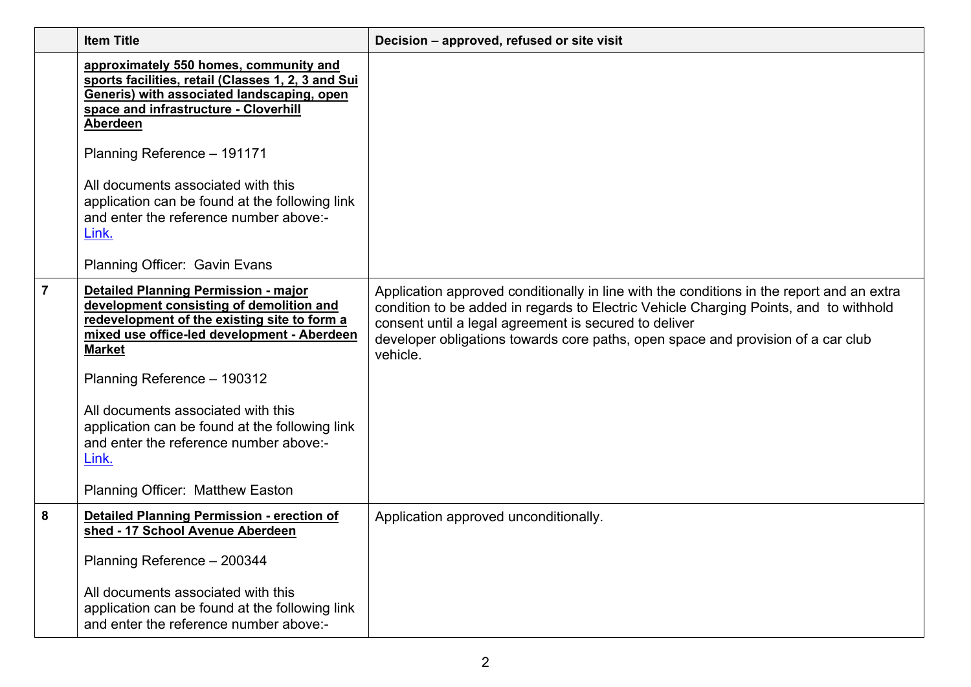|   | <b>Item Title</b>                                                                                                                                                                                                                                                                                                                                                                                                            | Decision - approved, refused or site visit                                                                                                                                                                                                                                                                                                  |
|---|------------------------------------------------------------------------------------------------------------------------------------------------------------------------------------------------------------------------------------------------------------------------------------------------------------------------------------------------------------------------------------------------------------------------------|---------------------------------------------------------------------------------------------------------------------------------------------------------------------------------------------------------------------------------------------------------------------------------------------------------------------------------------------|
|   | approximately 550 homes, community and<br>sports facilities, retail (Classes 1, 2, 3 and Sui<br>Generis) with associated landscaping, open<br>space and infrastructure - Cloverhill<br>Aberdeen<br>Planning Reference - 191171                                                                                                                                                                                               |                                                                                                                                                                                                                                                                                                                                             |
|   | All documents associated with this<br>application can be found at the following link<br>and enter the reference number above:-<br>Link.                                                                                                                                                                                                                                                                                      |                                                                                                                                                                                                                                                                                                                                             |
|   | Planning Officer: Gavin Evans                                                                                                                                                                                                                                                                                                                                                                                                |                                                                                                                                                                                                                                                                                                                                             |
| 7 | <b>Detailed Planning Permission - major</b><br>development consisting of demolition and<br>redevelopment of the existing site to form a<br>mixed use office-led development - Aberdeen<br><b>Market</b><br>Planning Reference - 190312<br>All documents associated with this<br>application can be found at the following link<br>and enter the reference number above:-<br>Link.<br><b>Planning Officer: Matthew Easton</b> | Application approved conditionally in line with the conditions in the report and an extra<br>condition to be added in regards to Electric Vehicle Charging Points, and to withhold<br>consent until a legal agreement is secured to deliver<br>developer obligations towards core paths, open space and provision of a car club<br>vehicle. |
| 8 | <b>Detailed Planning Permission - erection of</b><br>shed - 17 School Avenue Aberdeen<br>Planning Reference - 200344<br>All documents associated with this<br>application can be found at the following link<br>and enter the reference number above:-                                                                                                                                                                       | Application approved unconditionally.                                                                                                                                                                                                                                                                                                       |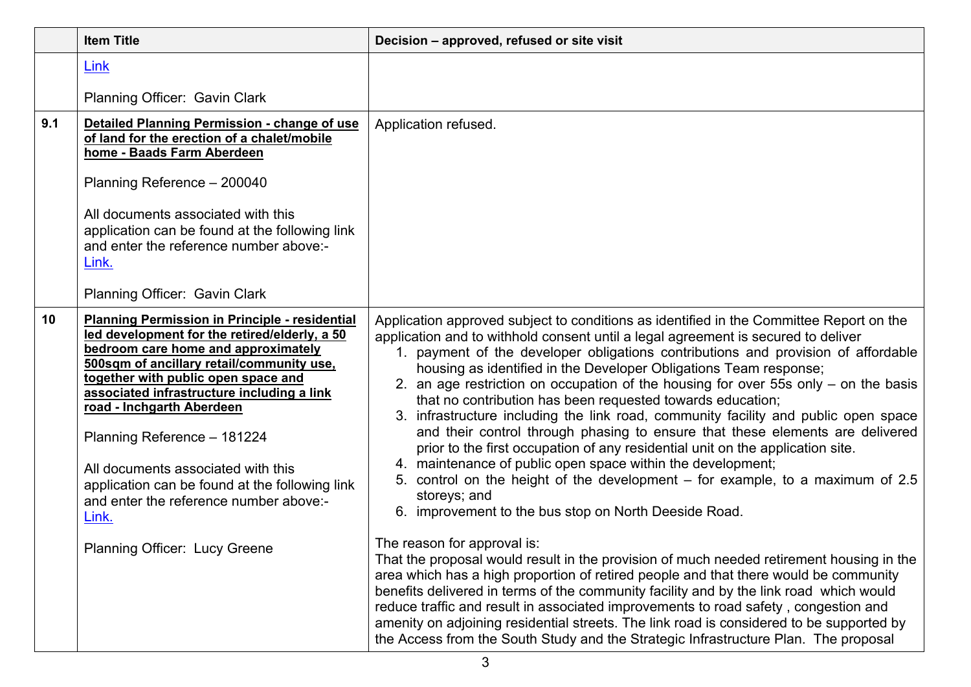|     | <b>Item Title</b>                                                                                                                                                                                                                                                                                                                                                                                                                                                                                                       | Decision - approved, refused or site visit                                                                                                                                                                                                                                                                                                                                                                                                                                                                                                                                                                                                                                                                                                                                                                                                                                                                                                                                                                                                                                                                                                                                                                                                                                                                                                                                                                                                                                                                                                                             |
|-----|-------------------------------------------------------------------------------------------------------------------------------------------------------------------------------------------------------------------------------------------------------------------------------------------------------------------------------------------------------------------------------------------------------------------------------------------------------------------------------------------------------------------------|------------------------------------------------------------------------------------------------------------------------------------------------------------------------------------------------------------------------------------------------------------------------------------------------------------------------------------------------------------------------------------------------------------------------------------------------------------------------------------------------------------------------------------------------------------------------------------------------------------------------------------------------------------------------------------------------------------------------------------------------------------------------------------------------------------------------------------------------------------------------------------------------------------------------------------------------------------------------------------------------------------------------------------------------------------------------------------------------------------------------------------------------------------------------------------------------------------------------------------------------------------------------------------------------------------------------------------------------------------------------------------------------------------------------------------------------------------------------------------------------------------------------------------------------------------------------|
|     | Link                                                                                                                                                                                                                                                                                                                                                                                                                                                                                                                    |                                                                                                                                                                                                                                                                                                                                                                                                                                                                                                                                                                                                                                                                                                                                                                                                                                                                                                                                                                                                                                                                                                                                                                                                                                                                                                                                                                                                                                                                                                                                                                        |
|     | Planning Officer: Gavin Clark                                                                                                                                                                                                                                                                                                                                                                                                                                                                                           |                                                                                                                                                                                                                                                                                                                                                                                                                                                                                                                                                                                                                                                                                                                                                                                                                                                                                                                                                                                                                                                                                                                                                                                                                                                                                                                                                                                                                                                                                                                                                                        |
| 9.1 | Detailed Planning Permission - change of use<br>of land for the erection of a chalet/mobile<br>home - Baads Farm Aberdeen<br>Planning Reference - 200040<br>All documents associated with this<br>application can be found at the following link<br>and enter the reference number above:-<br>Link.<br>Planning Officer: Gavin Clark                                                                                                                                                                                    | Application refused.                                                                                                                                                                                                                                                                                                                                                                                                                                                                                                                                                                                                                                                                                                                                                                                                                                                                                                                                                                                                                                                                                                                                                                                                                                                                                                                                                                                                                                                                                                                                                   |
| 10  | <b>Planning Permission in Principle - residential</b><br>led development for the retired/elderly, a 50<br>bedroom care home and approximately<br>500sqm of ancillary retail/community use,<br>together with public open space and<br>associated infrastructure including a link<br>road - Inchgarth Aberdeen<br>Planning Reference - 181224<br>All documents associated with this<br>application can be found at the following link<br>and enter the reference number above:-<br>Link.<br>Planning Officer: Lucy Greene | Application approved subject to conditions as identified in the Committee Report on the<br>application and to withhold consent until a legal agreement is secured to deliver<br>1. payment of the developer obligations contributions and provision of affordable<br>housing as identified in the Developer Obligations Team response;<br>2. an age restriction on occupation of the housing for over 55s only – on the basis<br>that no contribution has been requested towards education;<br>3. infrastructure including the link road, community facility and public open space<br>and their control through phasing to ensure that these elements are delivered<br>prior to the first occupation of any residential unit on the application site.<br>4. maintenance of public open space within the development;<br>5. control on the height of the development – for example, to a maximum of 2.5<br>storeys; and<br>6. improvement to the bus stop on North Deeside Road.<br>The reason for approval is:<br>That the proposal would result in the provision of much needed retirement housing in the<br>area which has a high proportion of retired people and that there would be community<br>benefits delivered in terms of the community facility and by the link road which would<br>reduce traffic and result in associated improvements to road safety, congestion and<br>amenity on adjoining residential streets. The link road is considered to be supported by<br>the Access from the South Study and the Strategic Infrastructure Plan. The proposal |